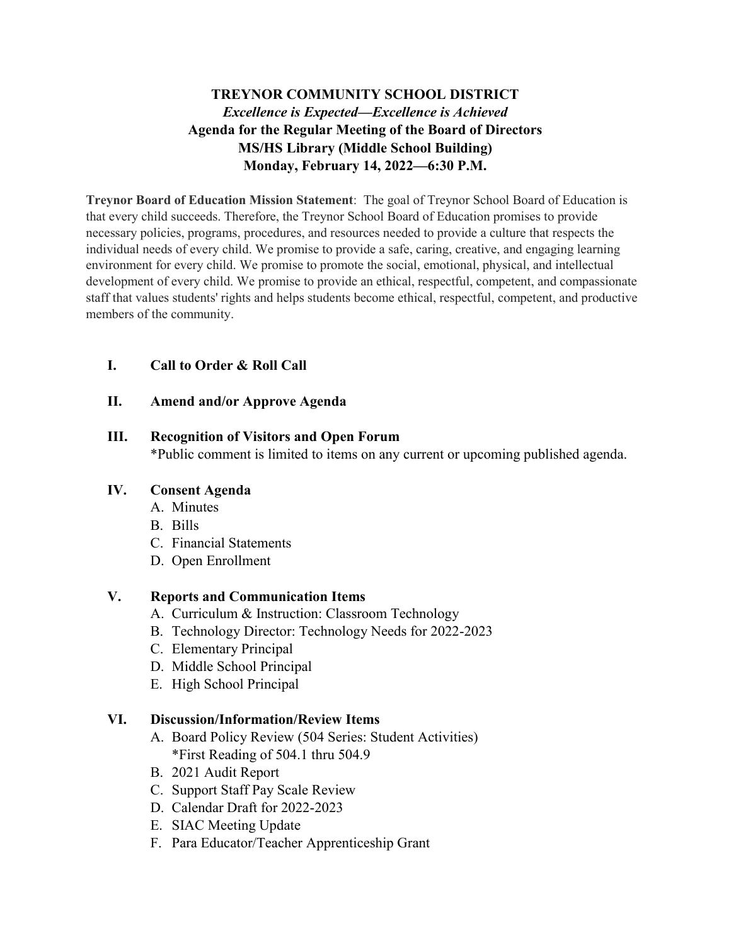# **TREYNOR COMMUNITY SCHOOL DISTRICT** *Excellence is Expected—Excellence is Achieved* **Agenda for the Regular Meeting of the Board of Directors MS/HS Library (Middle School Building) Monday, February 14, 2022—6:30 P.M.**

**Treynor Board of Education Mission Statement**: The goal of Treynor School Board of Education is that every child succeeds. Therefore, the Treynor School Board of Education promises to provide necessary policies, programs, procedures, and resources needed to provide a culture that respects the individual needs of every child. We promise to provide a safe, caring, creative, and engaging learning environment for every child. We promise to promote the social, emotional, physical, and intellectual development of every child. We promise to provide an ethical, respectful, competent, and compassionate staff that values students' rights and helps students become ethical, respectful, competent, and productive members of the community.

# **I. Call to Order & Roll Call**

#### **II. Amend and/or Approve Agenda**

#### **III. Recognition of Visitors and Open Forum**

\*Public comment is limited to items on any current or upcoming published agenda.

#### **IV. Consent Agenda**

- A. Minutes
- B. Bills
- C. Financial Statements
- D. Open Enrollment

# **V. Reports and Communication Items**

- A. Curriculum & Instruction: Classroom Technology
- B. Technology Director: Technology Needs for 2022-2023
- C. Elementary Principal
- D. Middle School Principal
- E. High School Principal

# **VI. Discussion/Information/Review Items**

- A. Board Policy Review (504 Series: Student Activities) \*First Reading of 504.1 thru 504.9
- B. 2021 Audit Report
- C. Support Staff Pay Scale Review
- D. Calendar Draft for 2022-2023
- E. SIAC Meeting Update
- F. Para Educator/Teacher Apprenticeship Grant